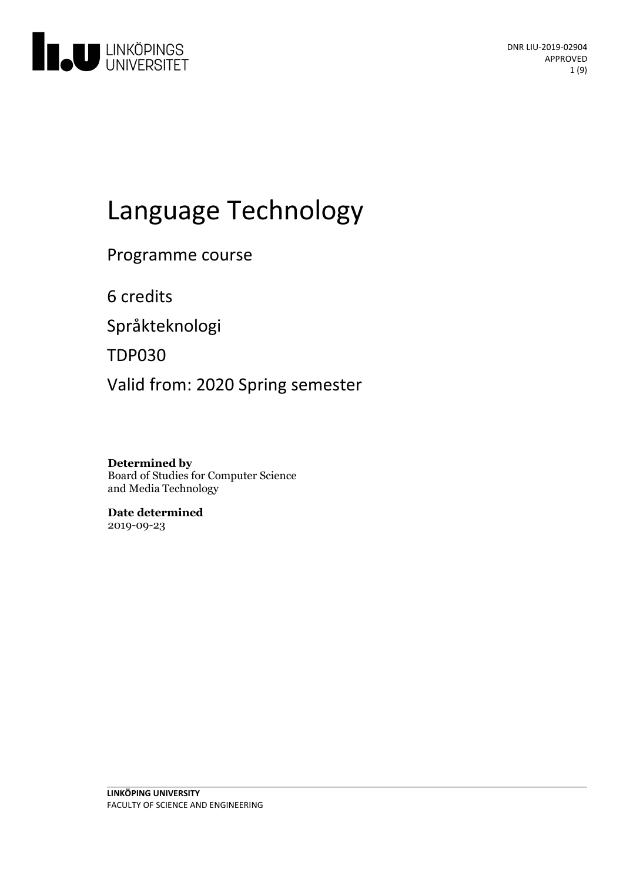

# Language Technology

Programme course

6 credits

Språkteknologi

TDP030

Valid from: 2020 Spring semester

**Determined by** Board of Studies for Computer Science and Media Technology

**Date determined** 2019-09-23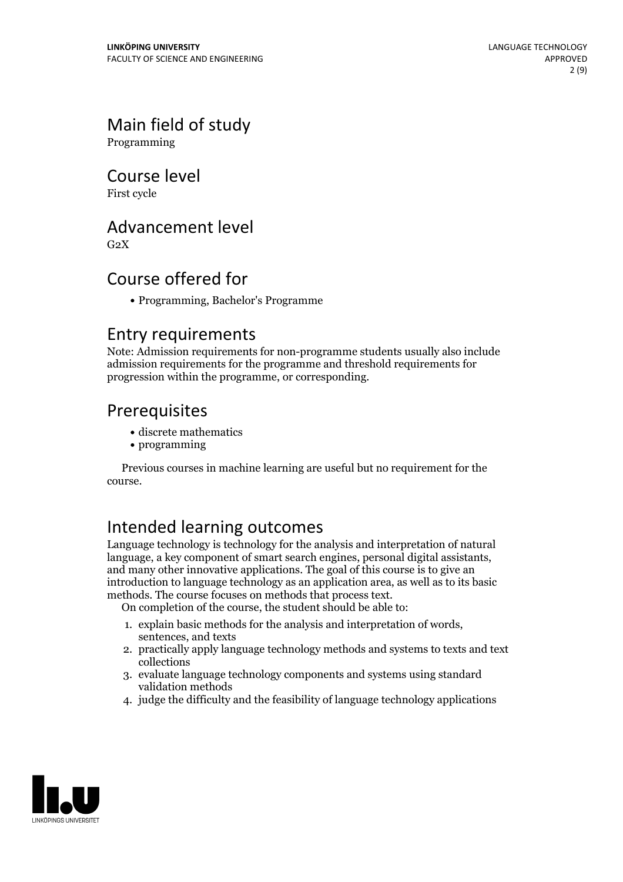# Main field of study

Programming

## Course level

First cycle

### Advancement level

 $G<sub>2</sub>X$ 

### Course offered for

Programming, Bachelor's Programme

### Entry requirements

Note: Admission requirements for non-programme students usually also include admission requirements for the programme and threshold requirements for progression within the programme, or corresponding.

### Prerequisites

- discrete mathematics
- programming

Previous courses in machine learning are useful but no requirement for the course.

# Intended learning outcomes

Language technology is technology for the analysis and interpretation of natural language, a key component of smart search engines, personal digital assistants. and many other innovative applications. The goal of this course is to give an introduction to language technology as an application area, as well as to its basic methods. The course focuses on methods that process text.

On completion of the course, the student should be able to:

- 1. explain basic methods for the analysis and interpretation of words, sentences, and texts
- 2. practically apply language technology methods and systems to texts and text collections
- 3. evaluate language technology components and systems using standard validation methods
- 4. judge the difficulty and the feasibility of language technology applications

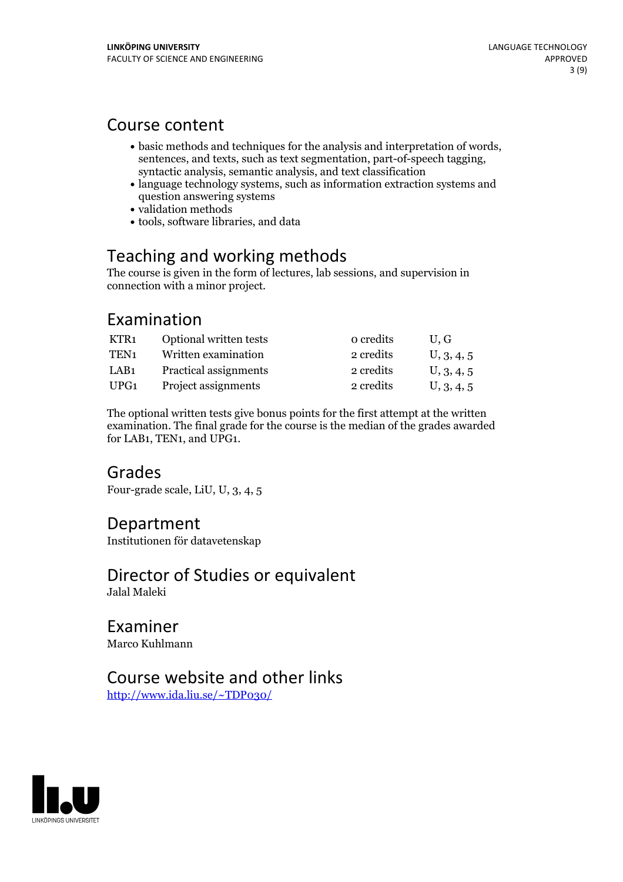### Course content

- basic methods and techniques for the analysis and interpretation of words, sentences, and texts, such as text segmentation, part-of-speech tagging, syntactic analysis, semantic analysis, and text classification
- language technology systems, such as information extraction systems and question answering systems
- validation methods
- tools, software libraries, and data

# Teaching and working methods

The course is given in the form of lectures, lab sessions, and supervision in connection with a minor project.

# Examination

| KTR1             | Optional written tests | o credits | U.G        |
|------------------|------------------------|-----------|------------|
| TEN <sub>1</sub> | Written examination    | 2 credits | U, 3, 4, 5 |
| LAB1             | Practical assignments  | 2 credits | U, 3, 4, 5 |
| UPG1             | Project assignments    | 2 credits | U, 3, 4, 5 |

The optional written tests give bonus points for the first attempt at the written examination. The final grade for the course is the median of the grades awarded for LAB1, TEN1, and UPG1.

### Grades

Four-grade scale, LiU, U, 3, 4, 5

### Department

Institutionen för datavetenskap

### Director of Studies or equivalent Jalal Maleki

Examiner Marco Kuhlmann

# Course website and other links

<http://www.ida.liu.se/~TDP030/>

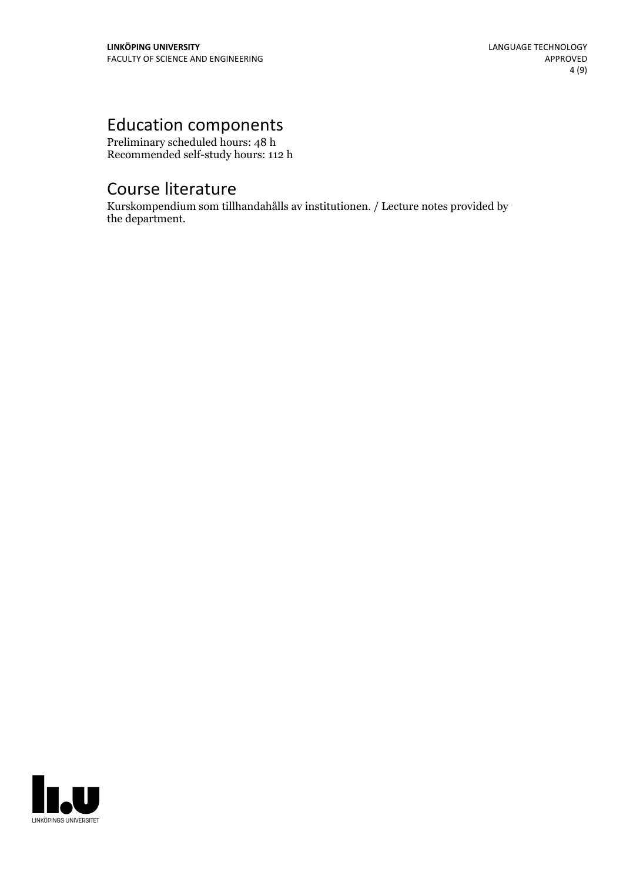# Education components

Preliminary scheduled hours: 48 h Recommended self-study hours: 112 h

# Course literature

Kurskompendium som tillhandahålls av institutionen. / Lecture notes provided by the department.

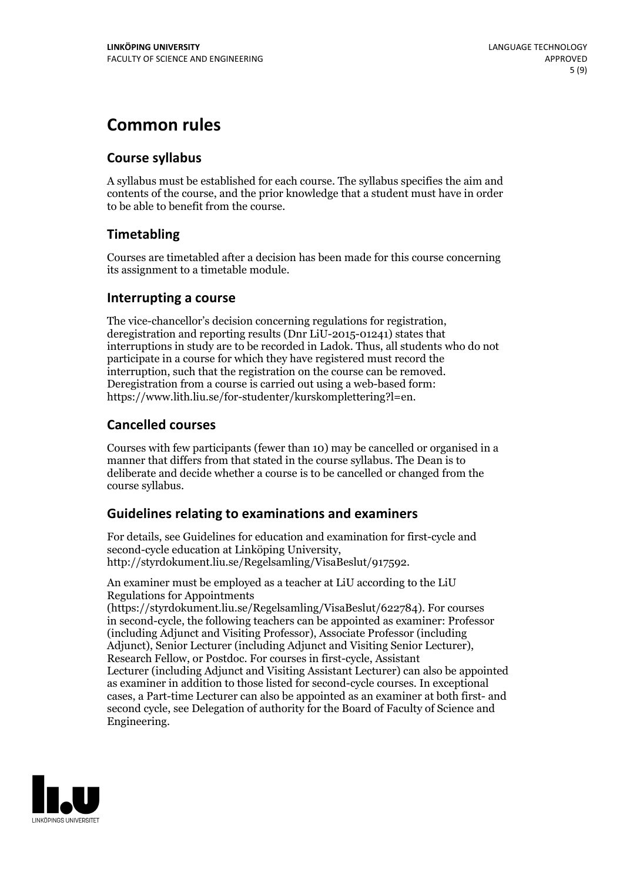# **Common rules**

### **Course syllabus**

A syllabus must be established for each course. The syllabus specifies the aim and contents of the course, and the prior knowledge that a student must have in order to be able to benefit from the course.

### **Timetabling**

Courses are timetabled after a decision has been made for this course concerning its assignment to a timetable module.

### **Interrupting a course**

The vice-chancellor's decision concerning regulations for registration, deregistration and reporting results (Dnr LiU-2015-01241) states that interruptions in study are to be recorded in Ladok. Thus, all students who do not participate in a course for which they have registered must record the interruption, such that the registration on the course can be removed. Deregistration from <sup>a</sup> course is carried outusing <sup>a</sup> web-based form: https://www.lith.liu.se/for-studenter/kurskomplettering?l=en.

### **Cancelled courses**

Courses with few participants (fewer than 10) may be cancelled or organised in a manner that differs from that stated in the course syllabus. The Dean is to deliberate and decide whether a course is to be cancelled or changed from the course syllabus.

### **Guidelines relatingto examinations and examiners**

For details, see Guidelines for education and examination for first-cycle and second-cycle education at Linköping University, http://styrdokument.liu.se/Regelsamling/VisaBeslut/917592.

An examiner must be employed as a teacher at LiU according to the LiU Regulations for Appointments

(https://styrdokument.liu.se/Regelsamling/VisaBeslut/622784). For courses in second-cycle, the following teachers can be appointed as examiner: Professor (including Adjunct and Visiting Professor), Associate Professor (including Adjunct), Senior Lecturer (including Adjunct and Visiting Senior Lecturer), Research Fellow, or Postdoc. For courses in first-cycle, Assistant Lecturer (including Adjunct and Visiting Assistant Lecturer) can also be appointed as examiner in addition to those listed for second-cycle courses. In exceptional cases, a Part-time Lecturer can also be appointed as an examiner at both first- and second cycle, see Delegation of authority for the Board of Faculty of Science and Engineering.

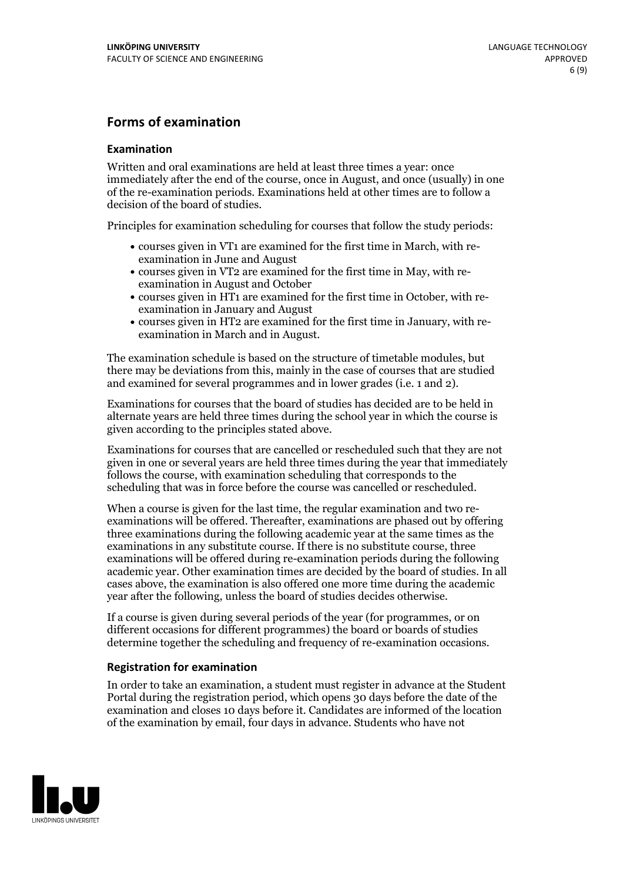### **Forms of examination**

#### **Examination**

Written and oral examinations are held at least three times a year: once immediately after the end of the course, once in August, and once (usually) in one of the re-examination periods. Examinations held at other times are to follow a decision of the board of studies.

Principles for examination scheduling for courses that follow the study periods:

- courses given in VT1 are examined for the first time in March, with re-examination in June and August
- courses given in VT2 are examined for the first time in May, with re-examination in August and October
- courses given in HT1 are examined for the first time in October, with re-examination in January and August
- courses given in HT2 are examined for the first time in January, with re-examination in March and in August.

The examination schedule is based on the structure of timetable modules, but there may be deviations from this, mainly in the case of courses that are studied and examined for several programmes and in lower grades (i.e. 1 and 2).

Examinations for courses that the board of studies has decided are to be held in alternate years are held three times during the school year in which the course is given according to the principles stated above.

Examinations for courses that are cancelled orrescheduled such that they are not given in one or several years are held three times during the year that immediately follows the course, with examination scheduling that corresponds to the scheduling that was in force before the course was cancelled or rescheduled.

When a course is given for the last time, the regular examination and two re-<br>examinations will be offered. Thereafter, examinations are phased out by offering three examinations during the following academic year at the same times as the examinations in any substitute course. If there is no substitute course, three examinations will be offered during re-examination periods during the following academic year. Other examination times are decided by the board of studies. In all cases above, the examination is also offered one more time during the academic year after the following, unless the board of studies decides otherwise.

If a course is given during several periods of the year (for programmes, or on different occasions for different programmes) the board or boards of studies determine together the scheduling and frequency of re-examination occasions.

#### **Registration for examination**

In order to take an examination, a student must register in advance at the Student Portal during the registration period, which opens 30 days before the date of the examination and closes 10 days before it. Candidates are informed of the location of the examination by email, four days in advance. Students who have not

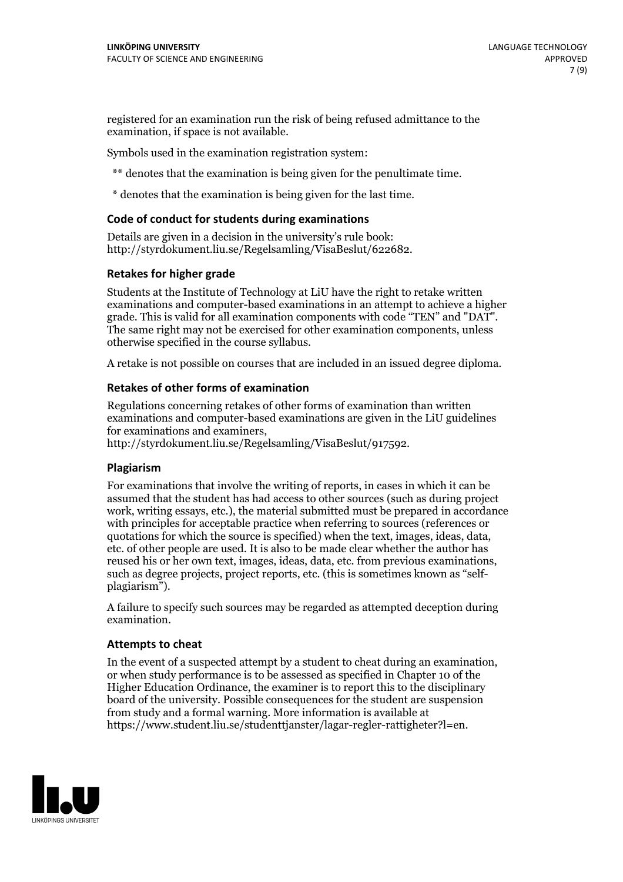registered for an examination run the risk of being refused admittance to the examination, if space is not available.

Symbols used in the examination registration system:

\*\* denotes that the examination is being given for the penultimate time.

\* denotes that the examination is being given for the last time.

#### **Code of conduct for students during examinations**

Details are given in a decision in the university's rule book: http://styrdokument.liu.se/Regelsamling/VisaBeslut/622682.

#### **Retakes for higher grade**

Students at the Institute of Technology at LiU have the right to retake written examinations and computer-based examinations in an attempt to achieve a higher grade. This is valid for all examination components with code "TEN" and "DAT". The same right may not be exercised for other examination components, unless otherwise specified in the course syllabus.

A retake is not possible on courses that are included in an issued degree diploma.

#### **Retakes of other forms of examination**

Regulations concerning retakes of other forms of examination than written examinations and computer-based examinations are given in the LiU guidelines

http://styrdokument.liu.se/Regelsamling/VisaBeslut/917592.

#### **Plagiarism**

For examinations that involve the writing of reports, in cases in which it can be assumed that the student has had access to other sources (such as during project work, writing essays, etc.), the material submitted must be prepared in accordance with principles for acceptable practice when referring to sources (references or quotations for which the source is specified) when the text, images, ideas, data,  $\vec{e}$  etc. of other people are used. It is also to be made clear whether the author has reused his or her own text, images, ideas, data, etc. from previous examinations, such as degree projects, project reports, etc. (this is sometimes known as "self- plagiarism").

A failure to specify such sources may be regarded as attempted deception during examination.

#### **Attempts to cheat**

In the event of <sup>a</sup> suspected attempt by <sup>a</sup> student to cheat during an examination, or when study performance is to be assessed as specified in Chapter <sup>10</sup> of the Higher Education Ordinance, the examiner is to report this to the disciplinary board of the university. Possible consequences for the student are suspension from study and a formal warning. More information is available at https://www.student.liu.se/studenttjanster/lagar-regler-rattigheter?l=en.

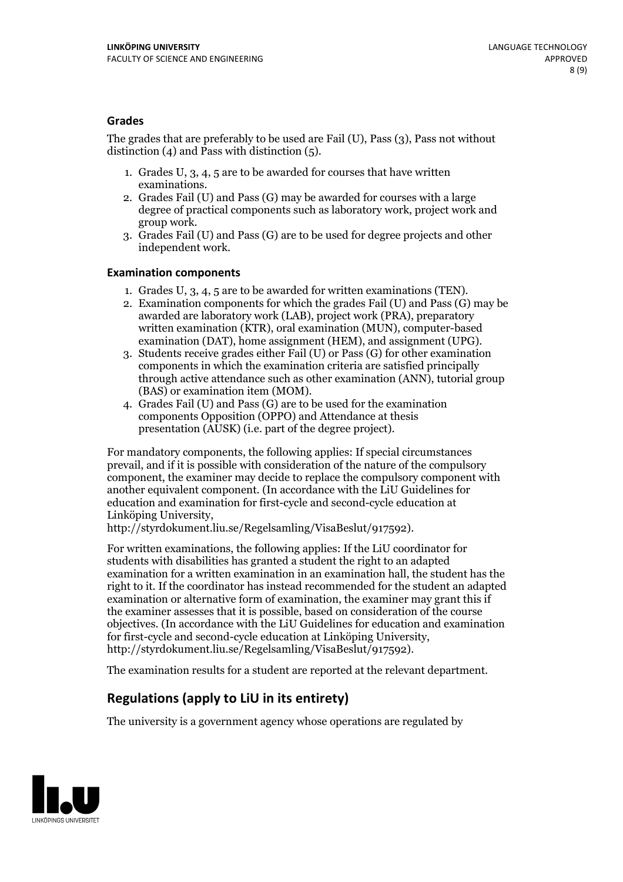### **Grades**

The grades that are preferably to be used are Fail (U), Pass (3), Pass not without distinction  $(4)$  and Pass with distinction  $(5)$ .

- 1. Grades U, 3, 4, 5 are to be awarded for courses that have written
- examinations. 2. Grades Fail (U) and Pass (G) may be awarded for courses with <sup>a</sup> large degree of practical components such as laboratory work, project work and group work. 3. Grades Fail (U) and Pass (G) are to be used for degree projects and other
- independent work.

#### **Examination components**

- 
- 1. Grades U, 3, 4, <sup>5</sup> are to be awarded for written examinations (TEN). 2. Examination components for which the grades Fail (U) and Pass (G) may be awarded are laboratory work (LAB), project work (PRA), preparatory written examination (KTR), oral examination (MUN), computer-based
- examination (DAT), home assignment (HEM), and assignment (UPG). 3. Students receive grades either Fail (U) or Pass (G) for other examination components in which the examination criteria are satisfied principally through active attendance such as other examination (ANN), tutorial group (BAS) or examination item (MOM). 4. Grades Fail (U) and Pass (G) are to be used for the examination
- components Opposition (OPPO) and Attendance at thesis presentation (AUSK) (i.e. part of the degree project).

For mandatory components, the following applies: If special circumstances prevail, and if it is possible with consideration of the nature of the compulsory component, the examiner may decide to replace the compulsory component with another equivalent component. (In accordance with the LiU Guidelines for education and examination for first-cycle and second-cycle education at Linköping University, http://styrdokument.liu.se/Regelsamling/VisaBeslut/917592).

For written examinations, the following applies: If the LiU coordinator for students with disabilities has granted a student the right to an adapted examination for a written examination in an examination hall, the student has the right to it. If the coordinator has instead recommended for the student an adapted examination or alternative form of examination, the examiner may grant this if the examiner assesses that it is possible, based on consideration of the course objectives. (In accordance with the LiU Guidelines for education and examination for first-cycle and second-cycle education at Linköping University, http://styrdokument.liu.se/Regelsamling/VisaBeslut/917592).

The examination results for a student are reported at the relevant department.

### **Regulations (applyto LiU in its entirety)**

The university is a government agency whose operations are regulated by